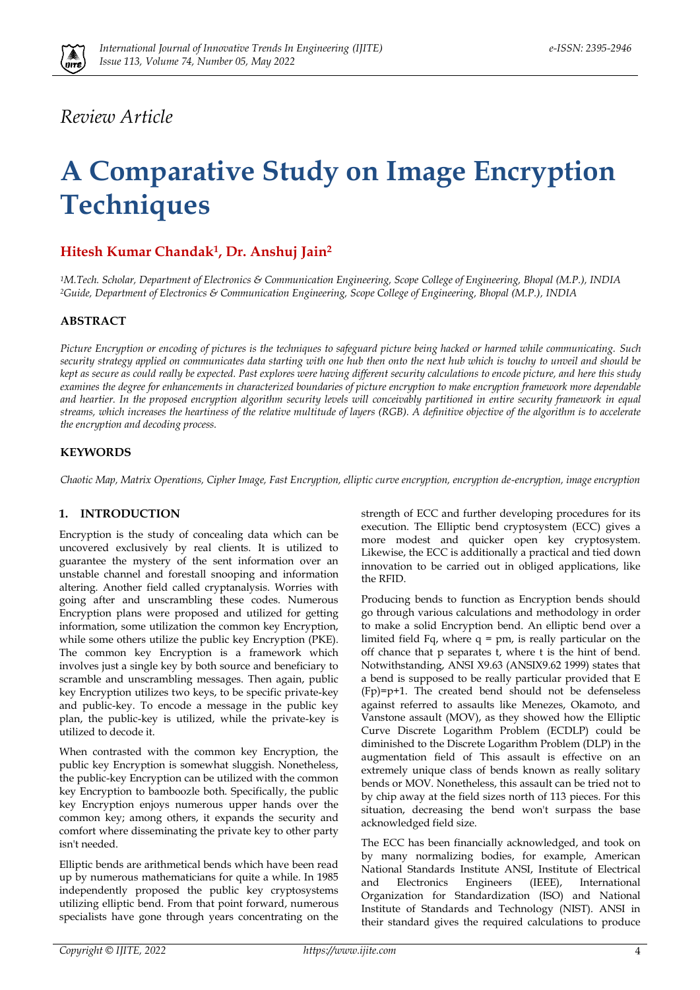

## *Review Article*

# **A Comparative Study on Image Encryption Techniques**

### **Hitesh Kumar Chandak1, Dr. Anshuj Jain<sup>2</sup>**

*<sup>1</sup>M.Tech. Scholar, Department of Electronics & Communication Engineering, Scope College of Engineering, Bhopal (M.P.), INDIA <sup>2</sup>Guide, Department of Electronics & Communication Engineering, Scope College of Engineering, Bhopal (M.P.), INDIA*

#### **ABSTRACT**

*Picture Encryption or encoding of pictures is the techniques to safeguard picture being hacked or harmed while communicating. Such security strategy applied on communicates data starting with one hub then onto the next hub which is touchy to unveil and should be kept as secure as could really be expected. Past explores were having different security calculations to encode picture, and here this study examines the degree for enhancements in characterized boundaries of picture encryption to make encryption framework more dependable*  and heartier. In the proposed encryption algorithm security levels will conceivably partitioned in entire security framework in equal *streams, which increases the heartiness of the relative multitude of layers (RGB). A definitive objective of the algorithm is to accelerate the encryption and decoding process.*

#### **KEYWORDS**

*Chaotic Map, Matrix Operations, Cipher Image, Fast Encryption, elliptic curve encryption, encryption de-encryption, image encryption*

#### **1. INTRODUCTION**

Encryption is the study of concealing data which can be uncovered exclusively by real clients. It is utilized to guarantee the mystery of the sent information over an unstable channel and forestall snooping and information altering. Another field called cryptanalysis. Worries with going after and unscrambling these codes. Numerous Encryption plans were proposed and utilized for getting information, some utilization the common key Encryption, while some others utilize the public key Encryption (PKE). The common key Encryption is a framework which involves just a single key by both source and beneficiary to scramble and unscrambling messages. Then again, public key Encryption utilizes two keys, to be specific private-key and public-key. To encode a message in the public key plan, the public-key is utilized, while the private-key is utilized to decode it.

When contrasted with the common key Encryption, the public key Encryption is somewhat sluggish. Nonetheless, the public-key Encryption can be utilized with the common key Encryption to bamboozle both. Specifically, the public key Encryption enjoys numerous upper hands over the common key; among others, it expands the security and comfort where disseminating the private key to other party isn't needed.

Elliptic bends are arithmetical bends which have been read up by numerous mathematicians for quite a while. In 1985 independently proposed the public key cryptosystems utilizing elliptic bend. From that point forward, numerous specialists have gone through years concentrating on the

strength of ECC and further developing procedures for its execution. The Elliptic bend cryptosystem (ECC) gives a more modest and quicker open key cryptosystem. Likewise, the ECC is additionally a practical and tied down innovation to be carried out in obliged applications, like the RFID.

Producing bends to function as Encryption bends should go through various calculations and methodology in order to make a solid Encryption bend. An elliptic bend over a limited field Fq, where  $q = pm$ , is really particular on the off chance that p separates t, where t is the hint of bend. Notwithstanding, ANSI X9.63 (ANSIX9.62 1999) states that a bend is supposed to be really particular provided that E (Fp)=p+1. The created bend should not be defenseless against referred to assaults like Menezes, Okamoto, and Vanstone assault (MOV), as they showed how the Elliptic Curve Discrete Logarithm Problem (ECDLP) could be diminished to the Discrete Logarithm Problem (DLP) in the augmentation field of This assault is effective on an extremely unique class of bends known as really solitary bends or MOV. Nonetheless, this assault can be tried not to by chip away at the field sizes north of 113 pieces. For this situation, decreasing the bend won't surpass the base acknowledged field size.

The ECC has been financially acknowledged, and took on by many normalizing bodies, for example, American National Standards Institute ANSI, Institute of Electrical and Electronics Engineers (IEEE), International Organization for Standardization (ISO) and National Institute of Standards and Technology (NIST). ANSI in their standard gives the required calculations to produce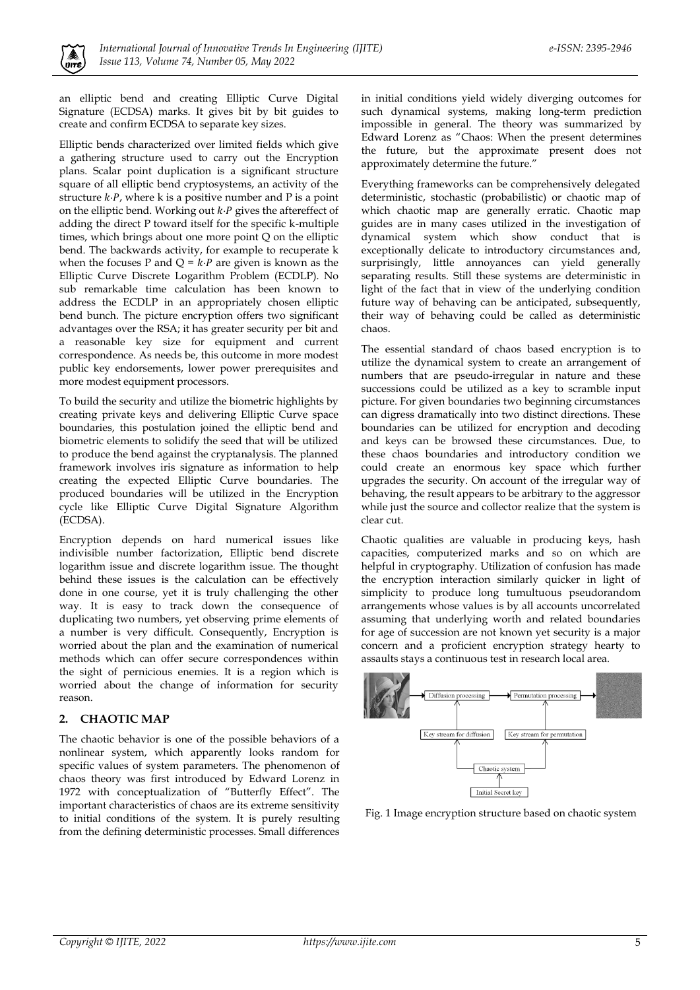

an elliptic bend and creating Elliptic Curve Digital Signature (ECDSA) marks. It gives bit by bit guides to create and confirm ECDSA to separate key sizes.

Elliptic bends characterized over limited fields which give a gathering structure used to carry out the Encryption plans. Scalar point duplication is a significant structure square of all elliptic bend cryptosystems, an activity of the structure  $k \cdot P$ , where k is a positive number and P is a point on the elliptic bend. Working out *k*⋅*P* gives the aftereffect of adding the direct P toward itself for the specific k-multiple times, which brings about one more point Q on the elliptic bend. The backwards activity, for example to recuperate k when the focuses P and  $Q = k \cdot P$  are given is known as the Elliptic Curve Discrete Logarithm Problem (ECDLP). No sub remarkable time calculation has been known to address the ECDLP in an appropriately chosen elliptic bend bunch. The picture encryption offers two significant advantages over the RSA; it has greater security per bit and a reasonable key size for equipment and current correspondence. As needs be, this outcome in more modest public key endorsements, lower power prerequisites and more modest equipment processors.

To build the security and utilize the biometric highlights by creating private keys and delivering Elliptic Curve space boundaries, this postulation joined the elliptic bend and biometric elements to solidify the seed that will be utilized to produce the bend against the cryptanalysis. The planned framework involves iris signature as information to help creating the expected Elliptic Curve boundaries. The produced boundaries will be utilized in the Encryption cycle like Elliptic Curve Digital Signature Algorithm (ECDSA).

Encryption depends on hard numerical issues like indivisible number factorization, Elliptic bend discrete logarithm issue and discrete logarithm issue. The thought behind these issues is the calculation can be effectively done in one course, yet it is truly challenging the other way. It is easy to track down the consequence of duplicating two numbers, yet observing prime elements of a number is very difficult. Consequently, Encryption is worried about the plan and the examination of numerical methods which can offer secure correspondences within the sight of pernicious enemies. It is a region which is worried about the change of information for security reason.

#### **2. CHAOTIC MAP**

The chaotic behavior is one of the possible behaviors of a nonlinear system, which apparently looks random for specific values of system parameters. The phenomenon of chaos theory was first introduced by Edward Lorenz in 1972 with conceptualization of "Butterfly Effect". The important characteristics of chaos are its extreme sensitivity to initial conditions of the system. It is purely resulting from the defining deterministic processes. Small differences in initial conditions yield widely diverging outcomes for such dynamical systems, making long-term prediction impossible in general. The theory was summarized by Edward Lorenz as "Chaos: When the present determines the future, but the approximate present does not approximately determine the future."

Everything frameworks can be comprehensively delegated deterministic, stochastic (probabilistic) or chaotic map of which chaotic map are generally erratic. Chaotic map guides are in many cases utilized in the investigation of dynamical system which show conduct that is exceptionally delicate to introductory circumstances and, surprisingly, little annoyances can yield generally separating results. Still these systems are deterministic in light of the fact that in view of the underlying condition future way of behaving can be anticipated, subsequently, their way of behaving could be called as deterministic chaos.

The essential standard of chaos based encryption is to utilize the dynamical system to create an arrangement of numbers that are pseudo-irregular in nature and these successions could be utilized as a key to scramble input picture. For given boundaries two beginning circumstances can digress dramatically into two distinct directions. These boundaries can be utilized for encryption and decoding and keys can be browsed these circumstances. Due, to these chaos boundaries and introductory condition we could create an enormous key space which further upgrades the security. On account of the irregular way of behaving, the result appears to be arbitrary to the aggressor while just the source and collector realize that the system is clear cut.

Chaotic qualities are valuable in producing keys, hash capacities, computerized marks and so on which are helpful in cryptography. Utilization of confusion has made the encryption interaction similarly quicker in light of simplicity to produce long tumultuous pseudorandom arrangements whose values is by all accounts uncorrelated assuming that underlying worth and related boundaries for age of succession are not known yet security is a major concern and a proficient encryption strategy hearty to assaults stays a continuous test in research local area.



Fig. 1 Image encryption structure based on chaotic system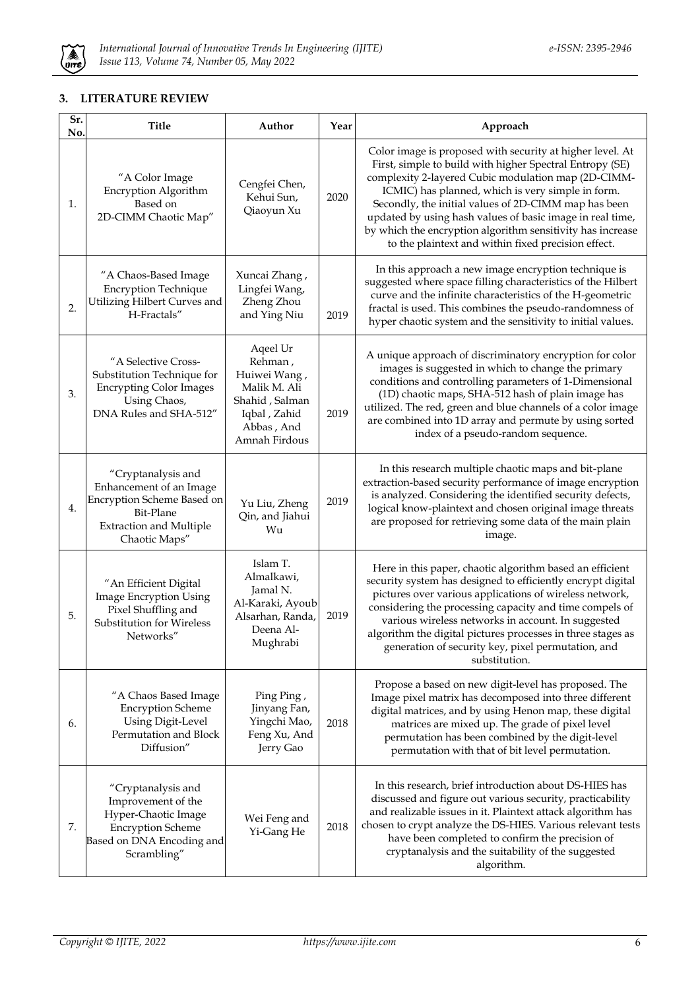

#### **3. LITERATURE REVIEW**

| Sr.<br>No. | <b>Title</b>                                                                                                                                | Author                                                                                                               | Year | Approach                                                                                                                                                                                                                                                                                                                                                                                                                                                                    |
|------------|---------------------------------------------------------------------------------------------------------------------------------------------|----------------------------------------------------------------------------------------------------------------------|------|-----------------------------------------------------------------------------------------------------------------------------------------------------------------------------------------------------------------------------------------------------------------------------------------------------------------------------------------------------------------------------------------------------------------------------------------------------------------------------|
| 1.         | "A Color Image<br>Encryption Algorithm<br>Based on<br>2D-CIMM Chaotic Map"                                                                  | Cengfei Chen,<br>Kehui Sun,<br>Qiaoyun Xu                                                                            | 2020 | Color image is proposed with security at higher level. At<br>First, simple to build with higher Spectral Entropy (SE)<br>complexity 2-layered Cubic modulation map (2D-CIMM-<br>ICMIC) has planned, which is very simple in form.<br>Secondly, the initial values of 2D-CIMM map has been<br>updated by using hash values of basic image in real time,<br>by which the encryption algorithm sensitivity has increase<br>to the plaintext and within fixed precision effect. |
| 2.         | "A Chaos-Based Image<br><b>Encryption Technique</b><br>Utilizing Hilbert Curves and<br>H-Fractals"                                          | Xuncai Zhang,<br>Lingfei Wang,<br>Zheng Zhou<br>and Ying Niu                                                         | 2019 | In this approach a new image encryption technique is<br>suggested where space filling characteristics of the Hilbert<br>curve and the infinite characteristics of the H-geometric<br>fractal is used. This combines the pseudo-randomness of<br>hyper chaotic system and the sensitivity to initial values.                                                                                                                                                                 |
| 3.         | "A Selective Cross-<br>Substitution Technique for<br><b>Encrypting Color Images</b><br>Using Chaos,<br>DNA Rules and SHA-512"               | Aqeel Ur<br>Rehman,<br>Huiwei Wang,<br>Malik M. Ali<br>Shahid, Salman<br>Iqbal, Zahid<br>Abbas, And<br>Amnah Firdous | 2019 | A unique approach of discriminatory encryption for color<br>images is suggested in which to change the primary<br>conditions and controlling parameters of 1-Dimensional<br>(1D) chaotic maps, SHA-512 hash of plain image has<br>utilized. The red, green and blue channels of a color image<br>are combined into 1D array and permute by using sorted<br>index of a pseudo-random sequence.                                                                               |
| 4.         | "Cryptanalysis and<br>Enhancement of an Image<br>Encryption Scheme Based on<br>Bit-Plane<br><b>Extraction and Multiple</b><br>Chaotic Maps" | Yu Liu, Zheng<br>Qin, and Jiahui<br>Wu                                                                               | 2019 | In this research multiple chaotic maps and bit-plane<br>extraction-based security performance of image encryption<br>is analyzed. Considering the identified security defects,<br>logical know-plaintext and chosen original image threats<br>are proposed for retrieving some data of the main plain<br>image.                                                                                                                                                             |
| 5.         | "An Efficient Digital<br>Image Encryption Using<br>Pixel Shuffling and<br>Substitution for Wireless<br>Networks"                            | Islam T.<br>Almalkawi,<br>Jamal N.<br>Al-Karaki, Ayoub<br>Alsarhan, Randa,<br>Deena Al-<br>Mughrabi                  | 2019 | Here in this paper, chaotic algorithm based an efficient<br>security system has designed to efficiently encrypt digital<br>pictures over various applications of wireless network,<br>considering the processing capacity and time compels of<br>various wireless networks in account. In suggested<br>algorithm the digital pictures processes in three stages as<br>generation of security key, pixel permutation, and<br>substitution.                                   |
| 6.         | "A Chaos Based Image<br><b>Encryption Scheme</b><br><b>Using Digit-Level</b><br>Permutation and Block<br>Diffusion"                         | Ping Ping,<br>Jinyang Fan,<br>Yingchi Mao,<br>Feng Xu, And<br>Jerry Gao                                              | 2018 | Propose a based on new digit-level has proposed. The<br>Image pixel matrix has decomposed into three different<br>digital matrices, and by using Henon map, these digital<br>matrices are mixed up. The grade of pixel level<br>permutation has been combined by the digit-level<br>permutation with that of bit level permutation.                                                                                                                                         |
| 7.         | "Cryptanalysis and<br>Improvement of the<br>Hyper-Chaotic Image<br><b>Encryption Scheme</b><br>Based on DNA Encoding and<br>Scrambling"     | Wei Feng and<br>Yi-Gang He                                                                                           | 2018 | In this research, brief introduction about DS-HIES has<br>discussed and figure out various security, practicability<br>and realizable issues in it. Plaintext attack algorithm has<br>chosen to crypt analyze the DS-HIES. Various relevant tests<br>have been completed to confirm the precision of<br>cryptanalysis and the suitability of the suggested<br>algorithm.                                                                                                    |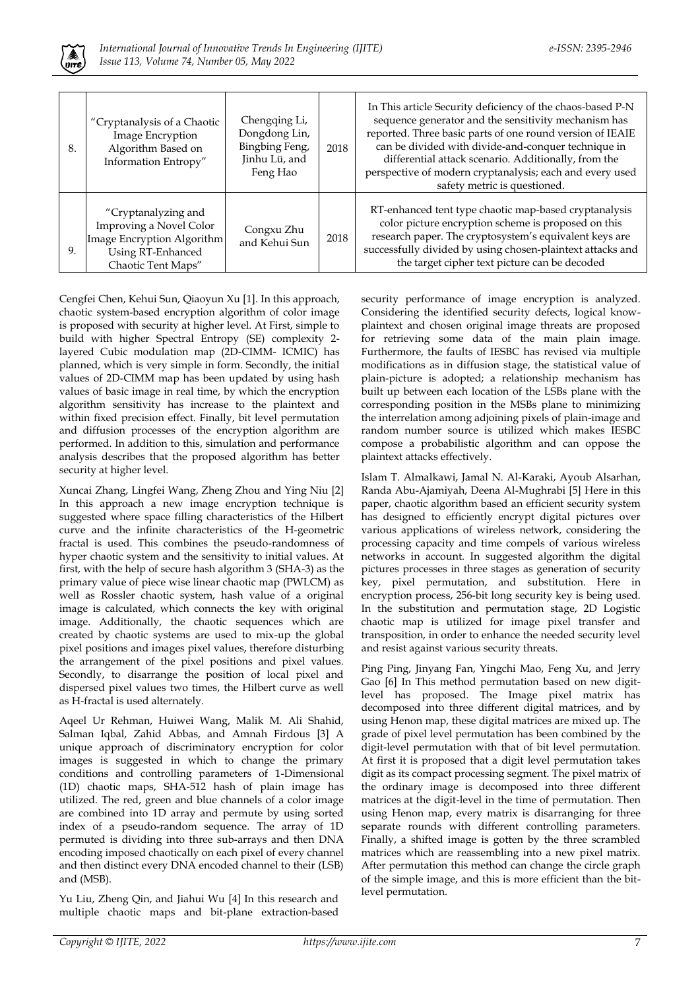

| 8. | "Cryptanalysis of a Chaotic<br>Image Encryption<br>Algorithm Based on<br>Information Entropy"                           | Chengqing Li,<br>Dongdong Lin,<br>Bingbing Feng,<br>Jinhu Lü, and<br>Feng Hao | 2018 | In This article Security deficiency of the chaos-based P-N<br>sequence generator and the sensitivity mechanism has<br>reported. Three basic parts of one round version of IEAIE<br>can be divided with divide-and-conquer technique in<br>differential attack scenario. Additionally, from the<br>perspective of modern cryptanalysis; each and every used<br>safety metric is questioned. |
|----|-------------------------------------------------------------------------------------------------------------------------|-------------------------------------------------------------------------------|------|--------------------------------------------------------------------------------------------------------------------------------------------------------------------------------------------------------------------------------------------------------------------------------------------------------------------------------------------------------------------------------------------|
| 9. | "Cryptanalyzing and<br>Improving a Novel Color<br>Image Encryption Algorithm<br>Using RT-Enhanced<br>Chaotic Tent Maps" | Congxu Zhu<br>and Kehui Sun                                                   | 2018 | RT-enhanced tent type chaotic map-based cryptanalysis<br>color picture encryption scheme is proposed on this<br>research paper. The cryptosystem's equivalent keys are<br>successfully divided by using chosen-plaintext attacks and<br>the target cipher text picture can be decoded                                                                                                      |

Cengfei Chen, Kehui Sun, Qiaoyun Xu [1]. In this approach, chaotic system-based encryption algorithm of color image is proposed with security at higher level. At First, simple to build with higher Spectral Entropy (SE) complexity 2 layered Cubic modulation map (2D-CIMM- ICMIC) has planned, which is very simple in form. Secondly, the initial values of 2D-CIMM map has been updated by using hash values of basic image in real time, by which the encryption algorithm sensitivity has increase to the plaintext and within fixed precision effect. Finally, bit level permutation and diffusion processes of the encryption algorithm are performed. In addition to this, simulation and performance analysis describes that the proposed algorithm has better security at higher level.

Xuncai Zhang, Lingfei Wang, Zheng Zhou and Ying Niu [2] In this approach a new image encryption technique is suggested where space filling characteristics of the Hilbert curve and the infinite characteristics of the H-geometric fractal is used. This combines the pseudo-randomness of hyper chaotic system and the sensitivity to initial values. At first, with the help of secure hash algorithm 3 (SHA-3) as the primary value of piece wise linear chaotic map (PWLCM) as well as Rossler chaotic system, hash value of a original image is calculated, which connects the key with original image. Additionally, the chaotic sequences which are created by chaotic systems are used to mix-up the global pixel positions and images pixel values, therefore disturbing the arrangement of the pixel positions and pixel values. Secondly, to disarrange the position of local pixel and dispersed pixel values two times, the Hilbert curve as well as H-fractal is used alternately.

Aqeel Ur Rehman, Huiwei Wang, Malik M. Ali Shahid, Salman Iqbal, Zahid Abbas, and Amnah Firdous [3] A unique approach of discriminatory encryption for color images is suggested in which to change the primary conditions and controlling parameters of 1-Dimensional (1D) chaotic maps, SHA-512 hash of plain image has utilized. The red, green and blue channels of a color image are combined into 1D array and permute by using sorted index of a pseudo-random sequence. The array of 1D permuted is dividing into three sub-arrays and then DNA encoding imposed chaotically on each pixel of every channel and then distinct every DNA encoded channel to their (LSB) and (MSB).

Yu Liu, Zheng Qin, and Jiahui Wu [4] In this research and multiple chaotic maps and bit-plane extraction-based

security performance of image encryption is analyzed. Considering the identified security defects, logical knowplaintext and chosen original image threats are proposed for retrieving some data of the main plain image. Furthermore, the faults of IESBC has revised via multiple modifications as in diffusion stage, the statistical value of plain-picture is adopted; a relationship mechanism has built up between each location of the LSBs plane with the corresponding position in the MSBs plane to minimizing the interrelation among adjoining pixels of plain-image and random number source is utilized which makes IESBC compose a probabilistic algorithm and can oppose the plaintext attacks effectively.

Islam T. Almalkawi, Jamal N. Al-Karaki, Ayoub Alsarhan, Randa Abu-Ajamiyah, Deena Al-Mughrabi [5] Here in this paper, chaotic algorithm based an efficient security system has designed to efficiently encrypt digital pictures over various applications of wireless network, considering the processing capacity and time compels of various wireless networks in account. In suggested algorithm the digital pictures processes in three stages as generation of security key, pixel permutation, and substitution. Here in encryption process, 256-bit long security key is being used. In the substitution and permutation stage, 2D Logistic chaotic map is utilized for image pixel transfer and transposition, in order to enhance the needed security level and resist against various security threats.

Ping Ping, Jinyang Fan, Yingchi Mao, Feng Xu, and Jerry Gao [6] In This method permutation based on new digitlevel has proposed. The Image pixel matrix has decomposed into three different digital matrices, and by using Henon map, these digital matrices are mixed up. The grade of pixel level permutation has been combined by the digit-level permutation with that of bit level permutation. At first it is proposed that a digit level permutation takes digit as its compact processing segment. The pixel matrix of the ordinary image is decomposed into three different matrices at the digit-level in the time of permutation. Then using Henon map, every matrix is disarranging for three separate rounds with different controlling parameters. Finally, a shifted image is gotten by the three scrambled matrices which are reassembling into a new pixel matrix. After permutation this method can change the circle graph of the simple image, and this is more efficient than the bitlevel permutation.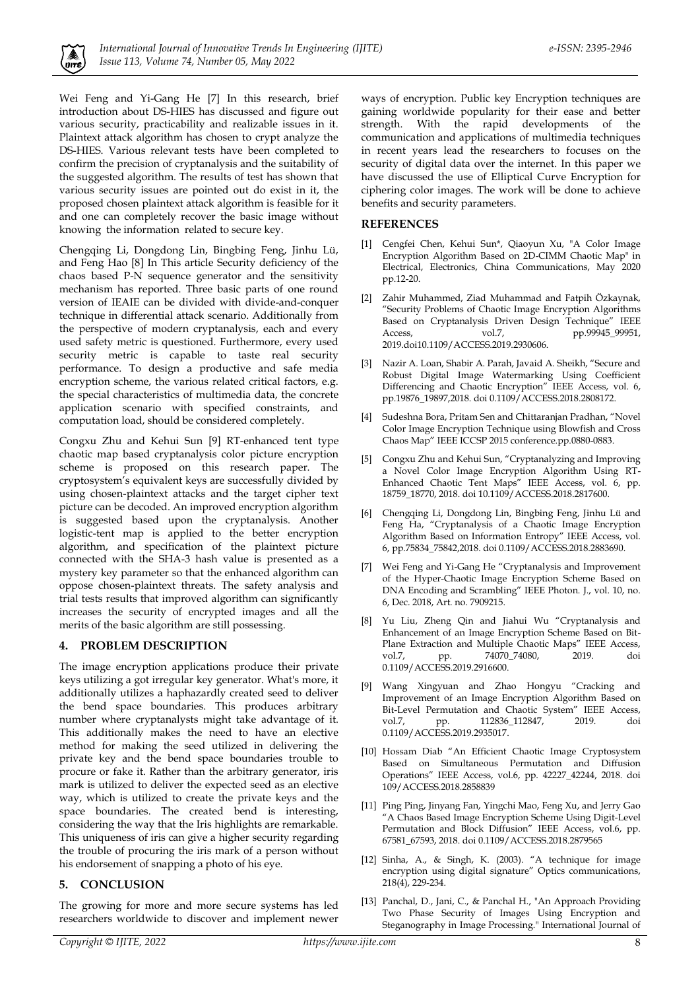

Wei Feng and Yi-Gang He [7] In this research, brief introduction about DS-HIES has discussed and figure out various security, practicability and realizable issues in it. Plaintext attack algorithm has chosen to crypt analyze the DS-HIES. Various relevant tests have been completed to confirm the precision of cryptanalysis and the suitability of the suggested algorithm. The results of test has shown that various security issues are pointed out do exist in it, the proposed chosen plaintext attack algorithm is feasible for it and one can completely recover the basic image without knowing the information related to secure key.

Chengqing Li, Dongdong Lin, Bingbing Feng, Jinhu Lü, and Feng Hao [8] In This article Security deficiency of the chaos based P-N sequence generator and the sensitivity mechanism has reported. Three basic parts of one round version of IEAIE can be divided with divide-and-conquer technique in differential attack scenario. Additionally from the perspective of modern cryptanalysis, each and every used safety metric is questioned. Furthermore, every used security metric is capable to taste real security performance. To design a productive and safe media encryption scheme, the various related critical factors, e.g. the special characteristics of multimedia data, the concrete application scenario with specified constraints, and computation load, should be considered completely.

Congxu Zhu and Kehui Sun [9] RT-enhanced tent type chaotic map based cryptanalysis color picture encryption scheme is proposed on this research paper. The cryptosystem's equivalent keys are successfully divided by using chosen-plaintext attacks and the target cipher text picture can be decoded. An improved encryption algorithm is suggested based upon the cryptanalysis. Another logistic-tent map is applied to the better encryption algorithm, and specification of the plaintext picture connected with the SHA-3 hash value is presented as a mystery key parameter so that the enhanced algorithm can oppose chosen-plaintext threats. The safety analysis and trial tests results that improved algorithm can significantly increases the security of encrypted images and all the merits of the basic algorithm are still possessing.

#### **4. PROBLEM DESCRIPTION**

The image encryption applications produce their private keys utilizing a got irregular key generator. What's more, it additionally utilizes a haphazardly created seed to deliver the bend space boundaries. This produces arbitrary number where cryptanalysts might take advantage of it. This additionally makes the need to have an elective method for making the seed utilized in delivering the private key and the bend space boundaries trouble to procure or fake it. Rather than the arbitrary generator, iris mark is utilized to deliver the expected seed as an elective way, which is utilized to create the private keys and the space boundaries. The created bend is interesting, considering the way that the Iris highlights are remarkable. This uniqueness of iris can give a higher security regarding the trouble of procuring the iris mark of a person without his endorsement of snapping a photo of his eye.

#### **5. CONCLUSION**

The growing for more and more secure systems has led researchers worldwide to discover and implement newer

ways of encryption. Public key Encryption techniques are gaining worldwide popularity for their ease and better strength. With the rapid developments of the communication and applications of multimedia techniques in recent years lead the researchers to focuses on the security of digital data over the internet. In this paper we have discussed the use of Elliptical Curve Encryption for ciphering color images. The work will be done to achieve benefits and security parameters.

#### **REFERENCES**

- [1] Cengfei Chen, Kehui Sun\*, Qiaoyun Xu, "A Color Image Encryption Algorithm Based on 2D-CIMM Chaotic Map" in Electrical, Electronics, China Communications, May 2020 pp.12-20.
- [2] Zahir Muhammed, Ziad Muhammad and Fatpih Özkaynak, "Security Problems of Chaotic Image Encryption Algorithms Based on Cryptanalysis Driven Design Technique" IEEE Access, vol.7, pp.99945 99951, 2019.doi10.1109/ACCESS.2019.2930606.
- [3] Nazir A. Loan, Shabir A. Parah, Javaid A. Sheikh, "Secure and Robust Digital Image Watermarking Using Coefficient Differencing and Chaotic Encryption" IEEE Access, vol. 6, pp.19876\_19897,2018. doi 0.1109/ACCESS.2018.2808172.
- Sudeshna Bora, Pritam Sen and Chittaranjan Pradhan, "Novel Color Image Encryption Technique using Blowfish and Cross Chaos Map" IEEE ICCSP 2015 conference.pp.0880-0883.
- [5] Congxu Zhu and Kehui Sun, "Cryptanalyzing and Improving a Novel Color Image Encryption Algorithm Using RT-Enhanced Chaotic Tent Maps" IEEE Access, vol.  $6$ , pp. 18759\_18770, 2018. doi 10.1109/ACCESS.2018.2817600.
- Chengqing Li, Dongdong Lin, Bingbing Feng, Jinhu Lü and Feng Ha, "Cryptanalysis of a Chaotic Image Encryption Algorithm Based on Information Entropy" IEEE Access, vol. 6, pp.75834\_75842,2018. doi 0.1109/ACCESS.2018.2883690.
- [7] Wei Feng and Yi-Gang He "Cryptanalysis and Improvement of the Hyper-Chaotic Image Encryption Scheme Based on DNA Encoding and Scrambling" IEEE Photon. J., vol. 10, no. 6, Dec. 2018, Art. no. 7909215.
- [8] Yu Liu, Zheng Qin and Jiahui Wu "Cryptanalysis and Enhancement of an Image Encryption Scheme Based on Bit-Plane Extraction and Multiple Chaotic Maps" IEEE Access, vol.7, pp. 74070\_74080, 2019. doi 0.1109/ACCESS.2019.2916600.
- Wang Xingyuan and Zhao Hongyu "Cracking and Improvement of an Image Encryption Algorithm Based on Bit-Level Permutation and Chaotic System" IEEE Access, vol.7, pp. 112836\_112847, 2019. doi 0.1109/ACCESS.2019.2935017.
- [10] Hossam Diab "An Efficient Chaotic Image Cryptosystem Based on Simultaneous Permutation and Diffusion Operations" IEEE Access, vol.6, pp. 42227\_42244, 2018. doi 109/ACCESS.2018.2858839
- [11] Ping Ping, Jinyang Fan, Yingchi Mao, Feng Xu, and Jerry Gao "A Chaos Based Image Encryption Scheme Using Digit-Level Permutation and Block Diffusion" IEEE Access, vol.6, pp. 67581\_67593, 2018. doi 0.1109/ACCESS.2018.2879565
- [12] Sinha, A., & Singh, K. (2003). "A technique for image encryption using digital signature" Optics communications, 218(4), 229-234.
- [13] Panchal, D., Jani, C., & Panchal H., "An Approach Providing Two Phase Security of Images Using Encryption and Steganography in Image Processing." International Journal of